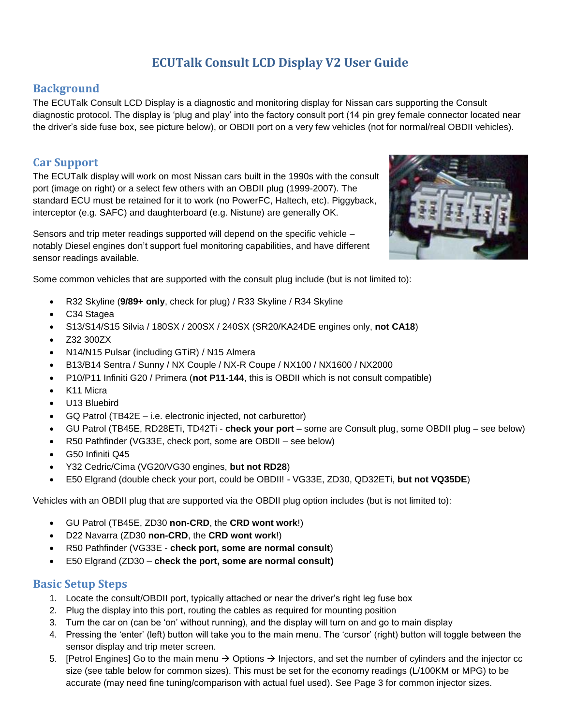# **ECUTalk Consult LCD Display V2 User Guide**

# **Background**

The ECUTalk Consult LCD Display is a diagnostic and monitoring display for Nissan cars supporting the Consult diagnostic protocol. The display is 'plug and play' into the factory consult port (14 pin grey female connector located near the driver's side fuse box, see picture below), or OBDII port on a very few vehicles (not for normal/real OBDII vehicles).

# **Car Support**

The ECUTalk display will work on most Nissan cars built in the 1990s with the consult port (image on right) or a select few others with an OBDII plug (1999-2007). The standard ECU must be retained for it to work (no PowerFC, Haltech, etc). Piggyback, interceptor (e.g. SAFC) and daughterboard (e.g. Nistune) are generally OK.

Sensors and trip meter readings supported will depend on the specific vehicle – notably Diesel engines don't support fuel monitoring capabilities, and have different sensor readings available.



Some common vehicles that are supported with the consult plug include (but is not limited to):

- R32 Skyline (**9/89+ only**, check for plug) / R33 Skyline / R34 Skyline
- C34 Stagea
- S13/S14/S15 Silvia / 180SX / 200SX / 240SX (SR20/KA24DE engines only, **not CA18**)
- Z32 300ZX
- N14/N15 Pulsar (including GTiR) / N15 Almera
- B13/B14 Sentra / Sunny / NX Couple / NX-R Coupe / NX100 / NX1600 / NX2000
- P10/P11 Infiniti G20 / Primera (**not P11-144**, this is OBDII which is not consult compatible)
- K11 Micra
- U13 Bluebird
- GQ Patrol (TB42E i.e. electronic injected, not carburettor)
- GU Patrol (TB45E, RD28ETi, TD42Ti **check your port** some are Consult plug, some OBDII plug see below)
- R50 Pathfinder (VG33E, check port, some are OBDII see below)
- G50 Infiniti Q45
- Y32 Cedric/Cima (VG20/VG30 engines, **but not RD28**)
- E50 Elgrand (double check your port, could be OBDII! VG33E, ZD30, QD32ETi, **but not VQ35DE**)

Vehicles with an OBDII plug that are supported via the OBDII plug option includes (but is not limited to):

- GU Patrol (TB45E, ZD30 **non-CRD**, the **CRD wont work**!)
- D22 Navarra (ZD30 **non-CRD**, the **CRD wont work**!)
- R50 Pathfinder (VG33E **check port, some are normal consult**)
- E50 Elgrand (ZD30 **check the port, some are normal consult)**

### **Basic Setup Steps**

- 1. Locate the consult/OBDII port, typically attached or near the driver's right leg fuse box
- 2. Plug the display into this port, routing the cables as required for mounting position
- 3. Turn the car on (can be 'on' without running), and the display will turn on and go to main display
- 4. Pressing the 'enter' (left) button will take you to the main menu. The 'cursor' (right) button will toggle between the sensor display and trip meter screen.
- 5. [Petrol Engines] Go to the main menu  $\rightarrow$  Options  $\rightarrow$  Injectors, and set the number of cylinders and the injector cc size (see table below for common sizes). This must be set for the economy readings (L/100KM or MPG) to be accurate (may need fine tuning/comparison with actual fuel used). See Page 3 for common injector sizes.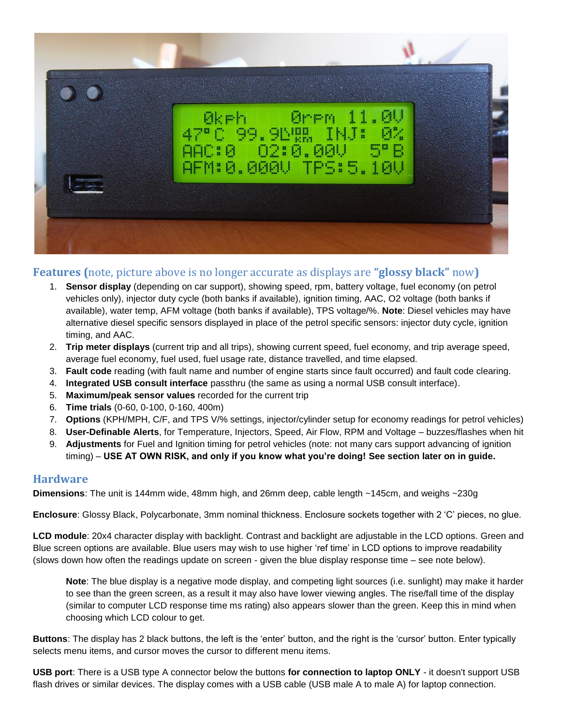

### **Features (**note, picture above is no longer accurate as displays are **"glossy black"** now**)**

- 1. **Sensor display** (depending on car support), showing speed, rpm, battery voltage, fuel economy (on petrol vehicles only), injector duty cycle (both banks if available), ignition timing, AAC, O2 voltage (both banks if available), water temp, AFM voltage (both banks if available), TPS voltage/%. **Note**: Diesel vehicles may have alternative diesel specific sensors displayed in place of the petrol specific sensors: injector duty cycle, ignition timing, and AAC.
- 2. **Trip meter displays** (current trip and all trips), showing current speed, fuel economy, and trip average speed, average fuel economy, fuel used, fuel usage rate, distance travelled, and time elapsed.
- 3. **Fault code** reading (with fault name and number of engine starts since fault occurred) and fault code clearing.
- 4. **Integrated USB consult interface** passthru (the same as using a normal USB consult interface).
- 5. **Maximum/peak sensor values** recorded for the current trip
- 6. **Time trials** (0-60, 0-100, 0-160, 400m)
- 7. **Options** (KPH/MPH, C/F, and TPS V/% settings, injector/cylinder setup for economy readings for petrol vehicles)
- 8. **User-Definable Alerts**, for Temperature, Injectors, Speed, Air Flow, RPM and Voltage buzzes/flashes when hit
- 9. **Adjustments** for Fuel and Ignition timing for petrol vehicles (note: not many cars support advancing of ignition timing) – **USE AT OWN RISK, and only if you know what you're doing! See section later on in guide.**

### **Hardware**

**Dimensions**: The unit is 144mm wide, 48mm high, and 26mm deep, cable length ~145cm, and weighs ~230g

**Enclosure**: Glossy Black, Polycarbonate, 3mm nominal thickness. Enclosure sockets together with 2 'C' pieces, no glue.

**LCD module**: 20x4 character display with backlight. Contrast and backlight are adjustable in the LCD options. Green and Blue screen options are available. Blue users may wish to use higher 'ref time' in LCD options to improve readability (slows down how often the readings update on screen - given the blue display response time – see note below).

**Note**: The blue display is a negative mode display, and competing light sources (i.e. sunlight) may make it harder to see than the green screen, as a result it may also have lower viewing angles. The rise/fall time of the display (similar to computer LCD response time ms rating) also appears slower than the green. Keep this in mind when choosing which LCD colour to get.

**Buttons**: The display has 2 black buttons, the left is the 'enter' button, and the right is the 'cursor' button. Enter typically selects menu items, and cursor moves the cursor to different menu items.

**USB port**: There is a USB type A connector below the buttons **for connection to laptop ONLY** - it doesn't support USB flash drives or similar devices. The display comes with a USB cable (USB male A to male A) for laptop connection.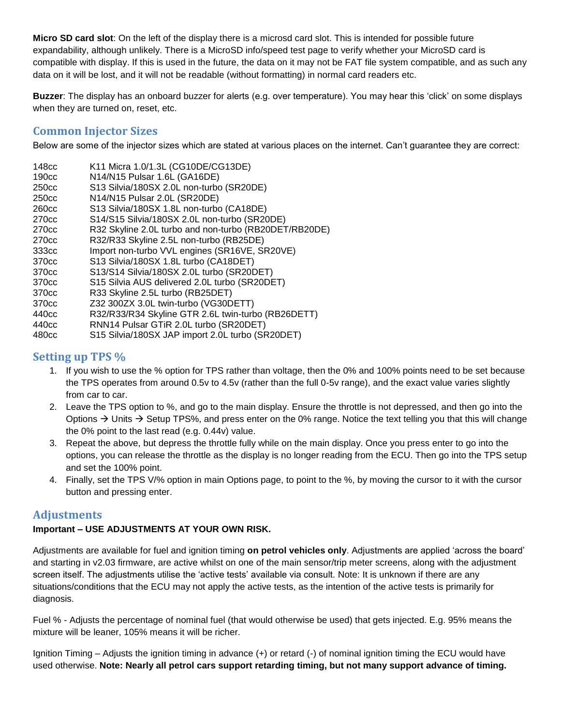**Micro SD card slot**: On the left of the display there is a microsd card slot. This is intended for possible future expandability, although unlikely. There is a MicroSD info/speed test page to verify whether your MicroSD card is compatible with display. If this is used in the future, the data on it may not be FAT file system compatible, and as such any data on it will be lost, and it will not be readable (without formatting) in normal card readers etc.

**Buzzer**: The display has an onboard buzzer for alerts (e.g. over temperature). You may hear this 'click' on some displays when they are turned on, reset, etc.

### **Common Injector Sizes**

Below are some of the injector sizes which are stated at various places on the internet. Can't guarantee they are correct:

| 148cc             | K11 Micra 1.0/1.3L (CG10DE/CG13DE)                    |
|-------------------|-------------------------------------------------------|
| 190cc             | N14/N15 Pulsar 1.6L (GA16DE)                          |
| 250 <sub>cc</sub> | S13 Silvia/180SX 2.0L non-turbo (SR20DE)              |
| 250 <sub>cc</sub> | N14/N15 Pulsar 2.0L (SR20DE)                          |
| 260 <sub>cc</sub> | S13 Silvia/180SX 1.8L non-turbo (CA18DE)              |
| 270 <sub>cc</sub> | S14/S15 Silvia/180SX 2.0L non-turbo (SR20DE)          |
| 270 <sub>cc</sub> | R32 Skyline 2.0L turbo and non-turbo (RB20DET/RB20DE) |
| 270 <sub>cc</sub> | R32/R33 Skyline 2.5L non-turbo (RB25DE)               |
| 333cc             | Import non-turbo VVL engines (SR16VE, SR20VE)         |
| 370 <sub>cc</sub> | S13 Silvia/180SX 1.8L turbo (CA18DET)                 |
| 370 <sub>cc</sub> | S13/S14 Silvia/180SX 2.0L turbo (SR20DET)             |
| 370 <sub>cc</sub> | S15 Silvia AUS delivered 2.0L turbo (SR20DET)         |
| 370 <sub>cc</sub> | R33 Skyline 2.5L turbo (RB25DET)                      |
| 370 <sub>cc</sub> | Z32 300ZX 3.0L twin-turbo (VG30DETT)                  |
| 440cc             | R32/R33/R34 Skyline GTR 2.6L twin-turbo (RB26DETT)    |
| 440 <sub>cc</sub> | RNN14 Pulsar GTiR 2.0L turbo (SR20DET)                |
| 1000 <sub>2</sub> | C15 Cilvio/100CV IAD import 2.01 turbo (CD20DET)      |

480cc S15 Silvia/180SX JAP import 2.0L turbo (SR20DET)

# **Setting up TPS %**

- 1. If you wish to use the % option for TPS rather than voltage, then the 0% and 100% points need to be set because the TPS operates from around 0.5v to 4.5v (rather than the full 0-5v range), and the exact value varies slightly from car to car.
- 2. Leave the TPS option to %, and go to the main display. Ensure the throttle is not depressed, and then go into the Options  $\rightarrow$  Units  $\rightarrow$  Setup TPS%, and press enter on the 0% range. Notice the text telling you that this will change the 0% point to the last read (e.g. 0.44v) value.
- 3. Repeat the above, but depress the throttle fully while on the main display. Once you press enter to go into the options, you can release the throttle as the display is no longer reading from the ECU. Then go into the TPS setup and set the 100% point.
- 4. Finally, set the TPS V/% option in main Options page, to point to the %, by moving the cursor to it with the cursor button and pressing enter.

### **Adjustments**

# **Important – USE ADJUSTMENTS AT YOUR OWN RISK.**

Adjustments are available for fuel and ignition timing **on petrol vehicles only**. Adjustments are applied 'across the board' and starting in v2.03 firmware, are active whilst on one of the main sensor/trip meter screens, along with the adjustment screen itself. The adjustments utilise the 'active tests' available via consult. Note: It is unknown if there are any situations/conditions that the ECU may not apply the active tests, as the intention of the active tests is primarily for diagnosis.

Fuel % - Adjusts the percentage of nominal fuel (that would otherwise be used) that gets injected. E.g. 95% means the mixture will be leaner, 105% means it will be richer.

Ignition Timing – Adjusts the ignition timing in advance (+) or retard (-) of nominal ignition timing the ECU would have used otherwise. **Note: Nearly all petrol cars support retarding timing, but not many support advance of timing.**